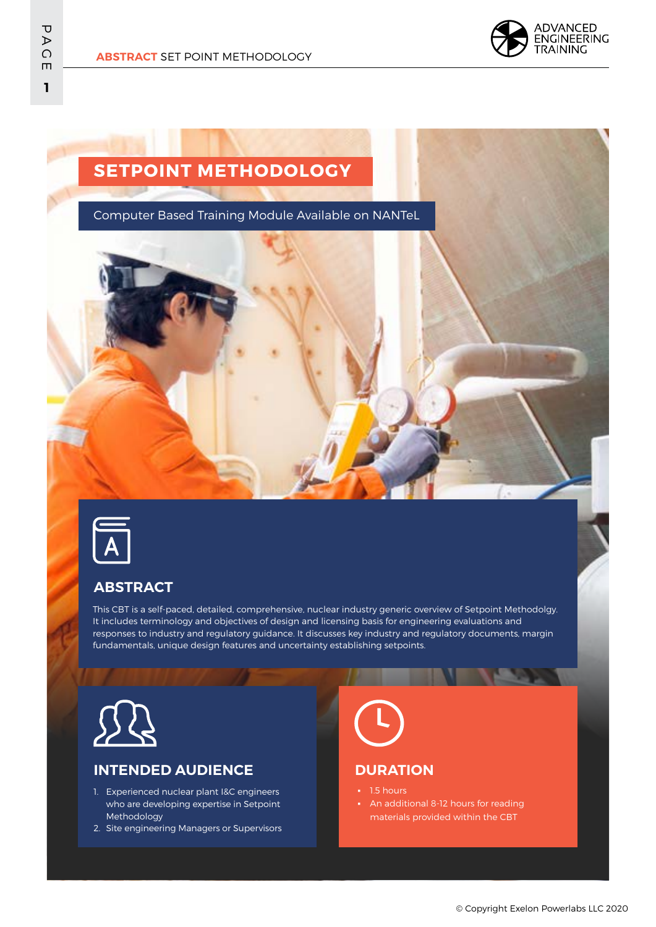

# **SETPOINT METHODOLOGY**

Computer Based Training Module Available on NANTeL



### **ABSTRACT**

This CBT is a self-paced, detailed, comprehensive, nuclear industry generic overview of Setpoint Methodolgy. It includes terminology and objectives of design and licensing basis for engineering evaluations and responses to industry and regulatory guidance. It discusses key industry and regulatory documents, margin fundamentals, unique design features and uncertainty establishing setpoints.



### **INTENDED AUDIENCE**

- 1. Experienced nuclear plant I&C engineers who are developing expertise in Setpoint Methodology
- 2. Site engineering Managers or Supervisors

### **DURATION**

- 1.5 hours
- **•** An additional 8-12 hours for reading materials provided within the CBT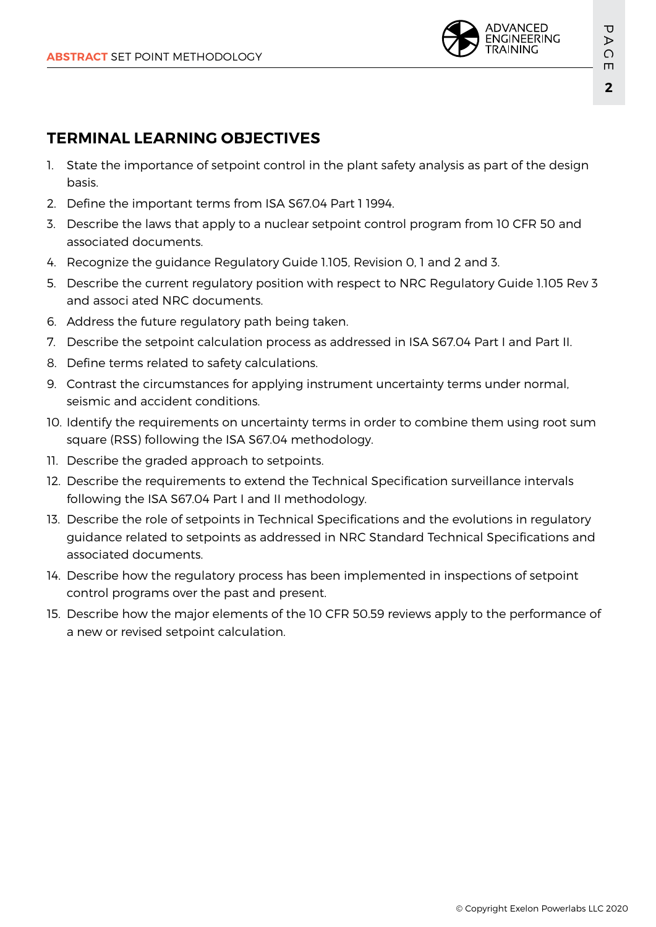

## **TERMINAL LEARNING OBJECTIVES**

- 1. State the importance of setpoint control in the plant safety analysis as part of the design basis.
- 2. Define the important terms from ISA S67.04 Part 1 1994.
- 3. Describe the laws that apply to a nuclear setpoint control program from 10 CFR 50 and associated documents.
- 4. Recognize the guidance Regulatory Guide 1.105, Revision 0, 1 and 2 and 3.
- 5. Describe the current regulatory position with respect to NRC Regulatory Guide 1.105 Rev 3 and associ ated NRC documents.
- 6. Address the future regulatory path being taken.
- 7. Describe the setpoint calculation process as addressed in ISA S67.04 Part I and Part II.
- 8. Define terms related to safety calculations.
- 9. Contrast the circumstances for applying instrument uncertainty terms under normal, seismic and accident conditions.
- 10. Identify the requirements on uncertainty terms in order to combine them using root sum square (RSS) following the ISA S67.04 methodology.
- 11. Describe the graded approach to setpoints.
- 12. Describe the requirements to extend the Technical Specification surveillance intervals following the ISA S67.04 Part I and II methodology.
- 13. Describe the role of setpoints in Technical Specifications and the evolutions in regulatory guidance related to setpoints as addressed in NRC Standard Technical Specifications and associated documents.
- 14. Describe how the regulatory process has been implemented in inspections of setpoint control programs over the past and present.
- 15. Describe how the major elements of the 10 CFR 50.59 reviews apply to the performance of a new or revised setpoint calculation.